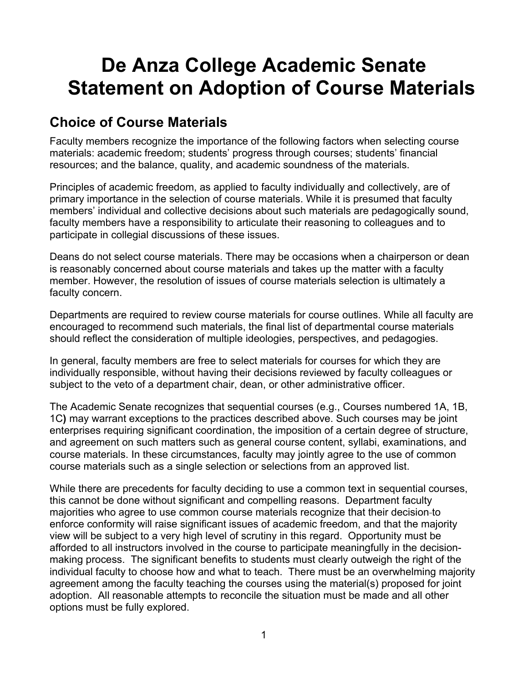# **De Anza College Academic Senate Statement on Adoption of Course Materials**

### **Choice of Course Materials**

Faculty members recognize the importance of the following factors when selecting course materials: academic freedom; students' progress through courses; students' financial resources; and the balance, quality, and academic soundness of the materials.

Principles of academic freedom, as applied to faculty individually and collectively, are of primary importance in the selection of course materials. While it is presumed that faculty members' individual and collective decisions about such materials are pedagogically sound, faculty members have a responsibility to articulate their reasoning to colleagues and to participate in collegial discussions of these issues.

Deans do not select course materials. There may be occasions when a chairperson or dean is reasonably concerned about course materials and takes up the matter with a faculty member. However, the resolution of issues of course materials selection is ultimately a faculty concern.

Departments are required to review course materials for course outlines. While all faculty are encouraged to recommend such materials, the final list of departmental course materials should reflect the consideration of multiple ideologies, perspectives, and pedagogies.

In general, faculty members are free to select materials for courses for which they are individually responsible, without having their decisions reviewed by faculty colleagues or subject to the veto of a department chair, dean, or other administrative officer.

The Academic Senate recognizes that sequential courses (e.g., Courses numbered 1A, 1B, 1C**)** may warrant exceptions to the practices described above. Such courses may be joint enterprises requiring significant coordination, the imposition of a certain degree of structure, and agreement on such matters such as general course content, syllabi, examinations, and course materials. In these circumstances, faculty may jointly agree to the use of common course materials such as a single selection or selections from an approved list.

While there are precedents for faculty deciding to use a common text in sequential courses, this cannot be done without significant and compelling reasons. Department faculty majorities who agree to use common course materials recognize that their decision to enforce conformity will raise significant issues of academic freedom, and that the majority view will be subject to a very high level of scrutiny in this regard. Opportunity must be afforded to all instructors involved in the course to participate meaningfully in the decisionmaking process. The significant benefits to students must clearly outweigh the right of the individual faculty to choose how and what to teach. There must be an overwhelming majority agreement among the faculty teaching the courses using the material(s) proposed for joint adoption. All reasonable attempts to reconcile the situation must be made and all other options must be fully explored.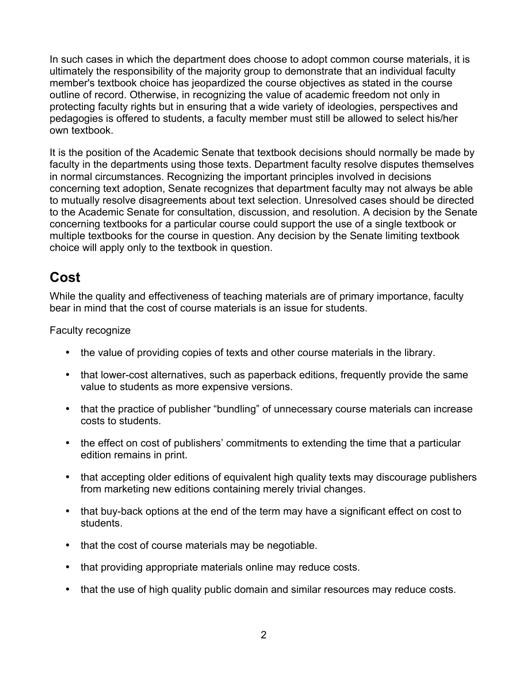In such cases in which the department does choose to adopt common course materials, it is ultimately the responsibility of the majority group to demonstrate that an individual faculty member's textbook choice has jeopardized the course objectives as stated in the course outline of record. Otherwise, in recognizing the value of academic freedom not only in protecting faculty rights but in ensuring that a wide variety of ideologies, perspectives and pedagogies is offered to students, a faculty member must still be allowed to select his/her own textbook.

It is the position of the Academic Senate that textbook decisions should normally be made by faculty in the departments using those texts. Department faculty resolve disputes themselves in normal circumstances. Recognizing the important principles involved in decisions concerning text adoption, Senate recognizes that department faculty may not always be able to mutually resolve disagreements about text selection. Unresolved cases should be directed to the Academic Senate for consultation, discussion, and resolution. A decision by the Senate concerning textbooks for a particular course could support the use of a single textbook or multiple textbooks for the course in question. Any decision by the Senate limiting textbook choice will apply only to the textbook in question.

### **Cost**

While the quality and effectiveness of teaching materials are of primary importance, faculty bear in mind that the cost of course materials is an issue for students.

Faculty recognize

- the value of providing copies of texts and other course materials in the library.
- that lower-cost alternatives, such as paperback editions, frequently provide the same value to students as more expensive versions.
- that the practice of publisher "bundling" of unnecessary course materials can increase costs to students.
- the effect on cost of publishers' commitments to extending the time that a particular edition remains in print.
- that accepting older editions of equivalent high quality texts may discourage publishers from marketing new editions containing merely trivial changes.
- that buy-back options at the end of the term may have a significant effect on cost to students.
- that the cost of course materials may be negotiable.
- that providing appropriate materials online may reduce costs.
- that the use of high quality public domain and similar resources may reduce costs.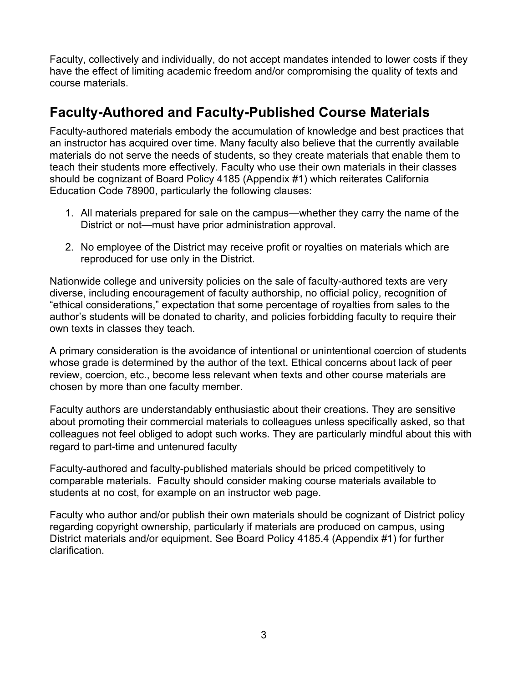Faculty, collectively and individually, do not accept mandates intended to lower costs if they have the effect of limiting academic freedom and/or compromising the quality of texts and course materials.

### **Faculty-Authored and Faculty-Published Course Materials**

Faculty-authored materials embody the accumulation of knowledge and best practices that an instructor has acquired over time. Many faculty also believe that the currently available materials do not serve the needs of students, so they create materials that enable them to teach their students more effectively. Faculty who use their own materials in their classes should be cognizant of Board Policy 4185 (Appendix #1) which reiterates California Education Code 78900, particularly the following clauses:

- 1. All materials prepared for sale on the campus—whether they carry the name of the District or not—must have prior administration approval.
- 2. No employee of the District may receive profit or royalties on materials which are reproduced for use only in the District.

Nationwide college and university policies on the sale of faculty-authored texts are very diverse, including encouragement of faculty authorship, no official policy, recognition of "ethical considerations," expectation that some percentage of royalties from sales to the author's students will be donated to charity, and policies forbidding faculty to require their own texts in classes they teach.

A primary consideration is the avoidance of intentional or unintentional coercion of students whose grade is determined by the author of the text. Ethical concerns about lack of peer review, coercion, etc., become less relevant when texts and other course materials are chosen by more than one faculty member.

Faculty authors are understandably enthusiastic about their creations. They are sensitive about promoting their commercial materials to colleagues unless specifically asked, so that colleagues not feel obliged to adopt such works. They are particularly mindful about this with regard to part-time and untenured faculty

Faculty-authored and faculty-published materials should be priced competitively to comparable materials. Faculty should consider making course materials available to students at no cost, for example on an instructor web page.

Faculty who author and/or publish their own materials should be cognizant of District policy regarding copyright ownership, particularly if materials are produced on campus, using District materials and/or equipment. See Board Policy 4185.4 (Appendix #1) for further clarification.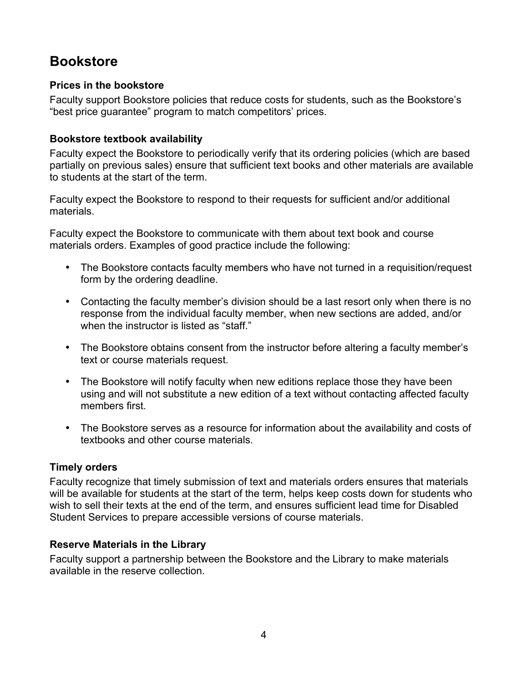# **Bookstore**

#### **Prices in the bookstore**

Faculty support Bookstore policies that reduce costs for students, such as the Bookstore's "best price guarantee" program to match competitors' prices.

#### **Bookstore textbook availability**

Faculty expect the Bookstore to periodically verify that its ordering policies (which are based partially on previous sales) ensure that sufficient text books and other materials are available to students at the start of the term.

Faculty expect the Bookstore to respond to their requests for sufficient and/or additional materials.

Faculty expect the Bookstore to communicate with them about text book and course materials orders. Examples of good practice include the following:

- The Bookstore contacts faculty members who have not turned in a requisition/request form by the ordering deadline.
- Contacting the faculty member's division should be a last resort only when there is no response from the individual faculty member, when new sections are added, and/or when the instructor is listed as "staff."
- The Bookstore obtains consent from the instructor before altering a faculty member's text or course materials request.
- The Bookstore will notify faculty when new editions replace those they have been using and will not substitute a new edition of a text without contacting affected faculty members first.
- The Bookstore serves as a resource for information about the availability and costs of textbooks and other course materials.

#### **Timely orders**

Faculty recognize that timely submission of text and materials orders ensures that materials will be available for students at the start of the term, helps keep costs down for students who wish to sell their texts at the end of the term, and ensures sufficient lead time for Disabled Student Services to prepare accessible versions of course materials.

#### **Reserve Materials in the Library**

Faculty support a partnership between the Bookstore and the Library to make materials available in the reserve collection.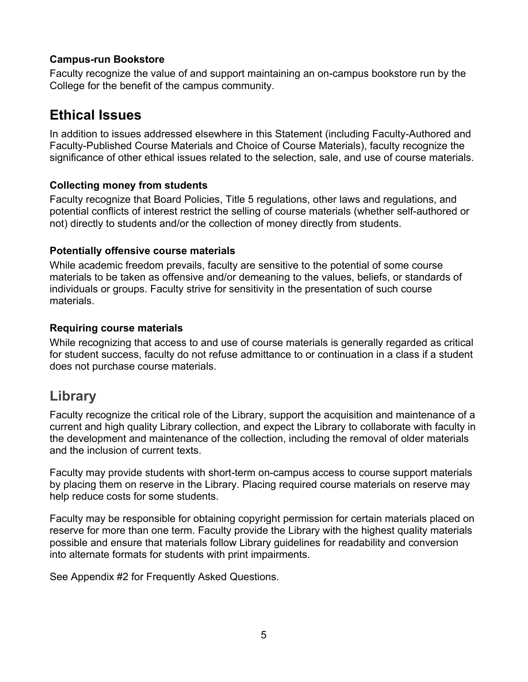#### **Campus-run Bookstore**

Faculty recognize the value of and support maintaining an on-campus bookstore run by the College for the benefit of the campus community.

### **Ethical Issues**

In addition to issues addressed elsewhere in this Statement (including Faculty-Authored and Faculty-Published Course Materials and Choice of Course Materials), faculty recognize the significance of other ethical issues related to the selection, sale, and use of course materials.

#### **Collecting money from students**

Faculty recognize that Board Policies, Title 5 regulations, other laws and regulations, and potential conflicts of interest restrict the selling of course materials (whether self-authored or not) directly to students and/or the collection of money directly from students.

#### **Potentially offensive course materials**

While academic freedom prevails, faculty are sensitive to the potential of some course materials to be taken as offensive and/or demeaning to the values, beliefs, or standards of individuals or groups. Faculty strive for sensitivity in the presentation of such course materials.

#### **Requiring course materials**

While recognizing that access to and use of course materials is generally regarded as critical for student success, faculty do not refuse admittance to or continuation in a class if a student does not purchase course materials.

### **Library**

Faculty recognize the critical role of the Library, support the acquisition and maintenance of a current and high quality Library collection, and expect the Library to collaborate with faculty in the development and maintenance of the collection, including the removal of older materials and the inclusion of current texts.

Faculty may provide students with short-term on-campus access to course support materials by placing them on reserve in the Library. Placing required course materials on reserve may help reduce costs for some students.

Faculty may be responsible for obtaining copyright permission for certain materials placed on reserve for more than one term. Faculty provide the Library with the highest quality materials possible and ensure that materials follow Library guidelines for readability and conversion into alternate formats for students with print impairments.

See Appendix #2 for Frequently Asked Questions.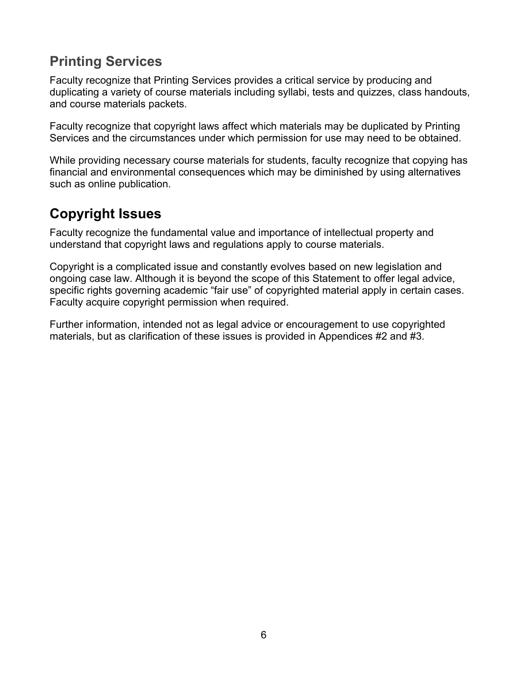# **Printing Services**

Faculty recognize that Printing Services provides a critical service by producing and duplicating a variety of course materials including syllabi, tests and quizzes, class handouts, and course materials packets.

Faculty recognize that copyright laws affect which materials may be duplicated by Printing Services and the circumstances under which permission for use may need to be obtained.

While providing necessary course materials for students, faculty recognize that copying has financial and environmental consequences which may be diminished by using alternatives such as online publication.

# **Copyright Issues**

Faculty recognize the fundamental value and importance of intellectual property and understand that copyright laws and regulations apply to course materials.

Copyright is a complicated issue and constantly evolves based on new legislation and ongoing case law. Although it is beyond the scope of this Statement to offer legal advice, specific rights governing academic "fair use" of copyrighted material apply in certain cases. Faculty acquire copyright permission when required.

Further information, intended not as legal advice or encouragement to use copyrighted materials, but as clarification of these issues is provided in Appendices #2 and #3.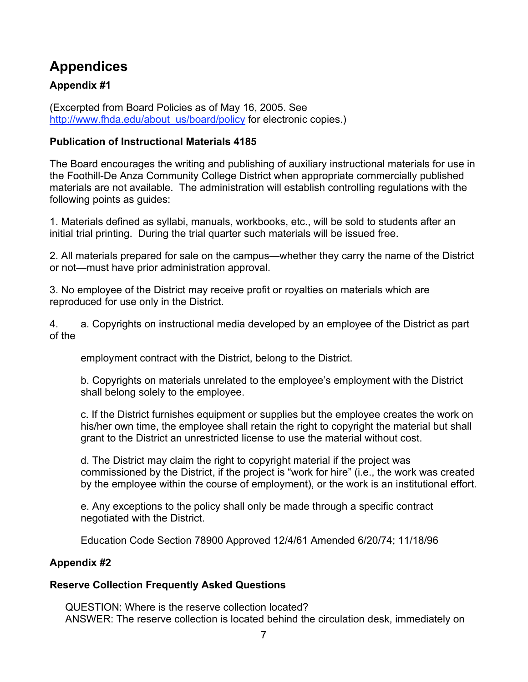# **Appendices**

#### **Appendix #1**

(Excerpted from Board Policies as of May 16, 2005. See http://www.fhda.edu/about\_us/board/policy for electronic copies.)

#### **Publication of Instructional Materials 4185**

The Board encourages the writing and publishing of auxiliary instructional materials for use in the Foothill-De Anza Community College District when appropriate commercially published materials are not available. The administration will establish controlling regulations with the following points as guides:

1. Materials defined as syllabi, manuals, workbooks, etc., will be sold to students after an initial trial printing. During the trial quarter such materials will be issued free.

2. All materials prepared for sale on the campus—whether they carry the name of the District or not—must have prior administration approval.

3. No employee of the District may receive profit or royalties on materials which are reproduced for use only in the District.

4. a. Copyrights on instructional media developed by an employee of the District as part of the

employment contract with the District, belong to the District.

b. Copyrights on materials unrelated to the employee's employment with the District shall belong solely to the employee.

c. If the District furnishes equipment or supplies but the employee creates the work on his/her own time, the employee shall retain the right to copyright the material but shall grant to the District an unrestricted license to use the material without cost.

d. The District may claim the right to copyright material if the project was commissioned by the District, if the project is "work for hire" (i.e., the work was created by the employee within the course of employment), or the work is an institutional effort.

e. Any exceptions to the policy shall only be made through a specific contract negotiated with the District.

Education Code Section 78900 Approved 12/4/61 Amended 6/20/74; 11/18/96

#### **Appendix #2**

#### **Reserve Collection Frequently Asked Questions**

QUESTION: Where is the reserve collection located? ANSWER: The reserve collection is located behind the circulation desk, immediately on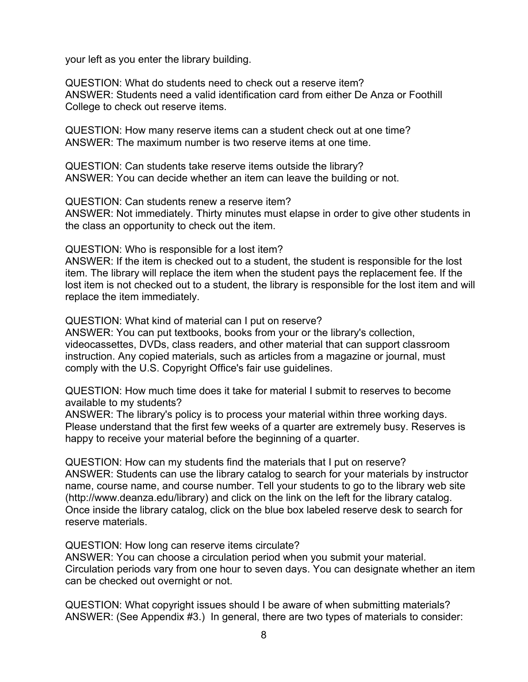your left as you enter the library building.

QUESTION: What do students need to check out a reserve item? ANSWER: Students need a valid identification card from either De Anza or Foothill College to check out reserve items.

QUESTION: How many reserve items can a student check out at one time? ANSWER: The maximum number is two reserve items at one time.

QUESTION: Can students take reserve items outside the library? ANSWER: You can decide whether an item can leave the building or not.

QUESTION: Can students renew a reserve item? ANSWER: Not immediately. Thirty minutes must elapse in order to give other students in the class an opportunity to check out the item.

QUESTION: Who is responsible for a lost item?

ANSWER: If the item is checked out to a student, the student is responsible for the lost item. The library will replace the item when the student pays the replacement fee. If the lost item is not checked out to a student, the library is responsible for the lost item and will replace the item immediately.

QUESTION: What kind of material can I put on reserve?

ANSWER: You can put textbooks, books from your or the library's collection, videocassettes, DVDs, class readers, and other material that can support classroom instruction. Any copied materials, such as articles from a magazine or journal, must comply with the U.S. Copyright Office's fair use guidelines.

QUESTION: How much time does it take for material I submit to reserves to become available to my students?

ANSWER: The library's policy is to process your material within three working days. Please understand that the first few weeks of a quarter are extremely busy. Reserves is happy to receive your material before the beginning of a quarter.

QUESTION: How can my students find the materials that I put on reserve? ANSWER: Students can use the library catalog to search for your materials by instructor name, course name, and course number. Tell your students to go to the library web site (http://www.deanza.edu/library) and click on the link on the left for the library catalog. Once inside the library catalog, click on the blue box labeled reserve desk to search for reserve materials.

QUESTION: How long can reserve items circulate?

ANSWER: You can choose a circulation period when you submit your material. Circulation periods vary from one hour to seven days. You can designate whether an item can be checked out overnight or not.

QUESTION: What copyright issues should I be aware of when submitting materials? ANSWER: (See Appendix #3.) In general, there are two types of materials to consider: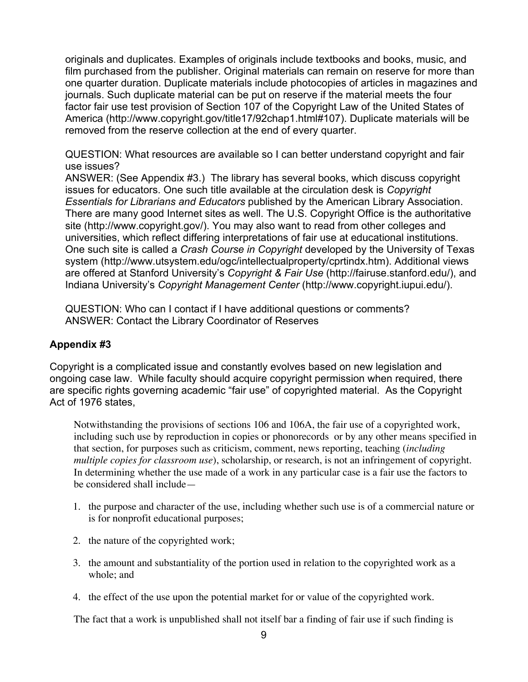originals and duplicates. Examples of originals include textbooks and books, music, and film purchased from the publisher. Original materials can remain on reserve for more than one quarter duration. Duplicate materials include photocopies of articles in magazines and journals. Such duplicate material can be put on reserve if the material meets the four factor fair use test provision of Section 107 of the Copyright Law of the United States of America (http://www.copyright.gov/title17/92chap1.html#107). Duplicate materials will be removed from the reserve collection at the end of every quarter.

QUESTION: What resources are available so I can better understand copyright and fair use issues?

ANSWER: (See Appendix #3.) The library has several books, which discuss copyright issues for educators. One such title available at the circulation desk is *Copyright Essentials for Librarians and Educators* published by the American Library Association. There are many good Internet sites as well. The U.S. Copyright Office is the authoritative site (http://www.copyright.gov/). You may also want to read from other colleges and universities, which reflect differing interpretations of fair use at educational institutions. One such site is called a *Crash Course in Copyright* developed by the University of Texas system (http://www.utsystem.edu/ogc/intellectualproperty/cprtindx.htm). Additional views are offered at Stanford University's *Copyright & Fair Use* (http://fairuse.stanford.edu/), and Indiana University's *Copyright Management Center* (http://www.copyright.iupui.edu/).

QUESTION: Who can I contact if I have additional questions or comments? ANSWER: Contact the Library Coordinator of Reserves

#### **Appendix #3**

Copyright is a complicated issue and constantly evolves based on new legislation and ongoing case law. While faculty should acquire copyright permission when required, there are specific rights governing academic "fair use" of copyrighted material. As the Copyright Act of 1976 states,

Notwithstanding the provisions of sections 106 and 106A, the fair use of a copyrighted work, including such use by reproduction in copies or phonorecords or by any other means specified in that section, for purposes such as criticism, comment, news reporting, teaching (*including multiple copies for classroom use*), scholarship, or research, is not an infringement of copyright. In determining whether the use made of a work in any particular case is a fair use the factors to be considered shall include—

- 1. the purpose and character of the use, including whether such use is of a commercial nature or is for nonprofit educational purposes;
- 2. the nature of the copyrighted work;
- 3. the amount and substantiality of the portion used in relation to the copyrighted work as a whole; and
- 4. the effect of the use upon the potential market for or value of the copyrighted work.

The fact that a work is unpublished shall not itself bar a finding of fair use if such finding is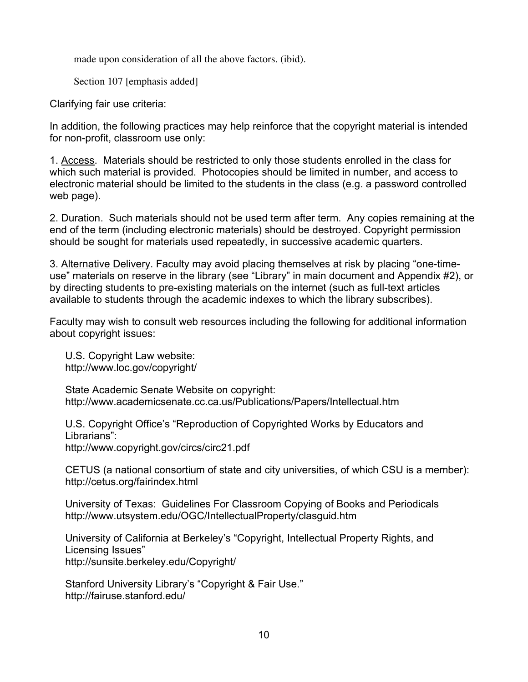made upon consideration of all the above factors. (ibid).

Section 107 [emphasis added]

Clarifying fair use criteria:

In addition, the following practices may help reinforce that the copyright material is intended for non-profit, classroom use only:

1. Access. Materials should be restricted to only those students enrolled in the class for which such material is provided. Photocopies should be limited in number, and access to electronic material should be limited to the students in the class (e.g. a password controlled web page).

2. Duration. Such materials should not be used term after term. Any copies remaining at the end of the term (including electronic materials) should be destroyed. Copyright permission should be sought for materials used repeatedly, in successive academic quarters.

3. Alternative Delivery. Faculty may avoid placing themselves at risk by placing "one-timeuse" materials on reserve in the library (see "Library" in main document and Appendix #2), or by directing students to pre-existing materials on the internet (such as full-text articles available to students through the academic indexes to which the library subscribes).

Faculty may wish to consult web resources including the following for additional information about copyright issues:

U.S. Copyright Law website: http://www.loc.gov/copyright/

State Academic Senate Website on copyright: http://www.academicsenate.cc.ca.us/Publications/Papers/Intellectual.htm

U.S. Copyright Office's "Reproduction of Copyrighted Works by Educators and Librarians": http://www.copyright.gov/circs/circ21.pdf

CETUS (a national consortium of state and city universities, of which CSU is a member): http://cetus.org/fairindex.html

University of Texas: Guidelines For Classroom Copying of Books and Periodicals http://www.utsystem.edu/OGC/IntellectualProperty/clasguid.htm

University of California at Berkeley's "Copyright, Intellectual Property Rights, and Licensing Issues" http://sunsite.berkeley.edu/Copyright/

Stanford University Library's "Copyright & Fair Use." http://fairuse.stanford.edu/